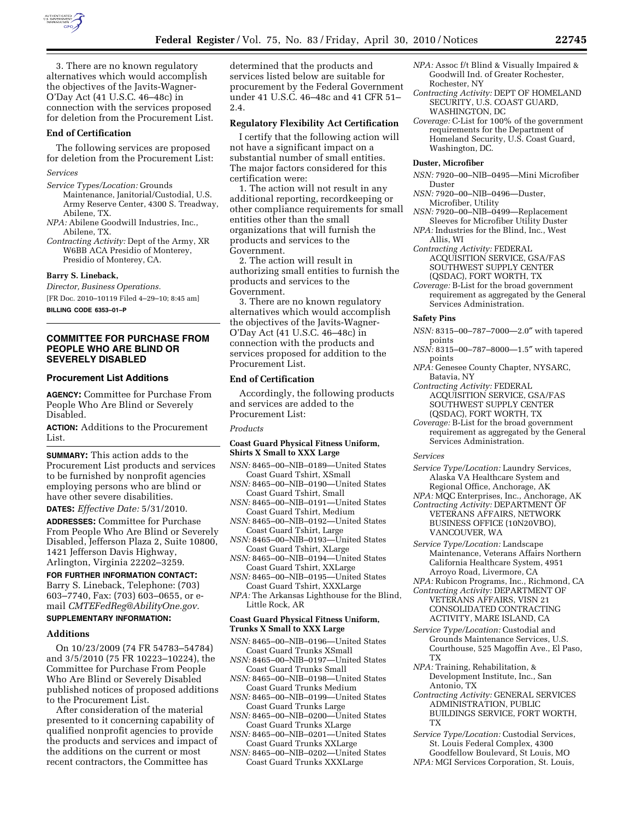

3. There are no known regulatory alternatives which would accomplish the objectives of the Javits-Wagner-O'Day Act (41 U.S.C. 46–48c) in connection with the services proposed for deletion from the Procurement List.

#### **End of Certification**

The following services are proposed for deletion from the Procurement List:

- *Services*
- *Service Types/Location:* Grounds Maintenance, Janitorial/Custodial, U.S. Army Reserve Center, 4300 S. Treadway, Abilene, TX.
- *NPA:* Abilene Goodwill Industries, Inc., Abilene, TX.
- *Contracting Activity:* Dept of the Army, XR W6BB ACA Presidio of Monterey, Presidio of Monterey, CA.

#### **Barry S. Lineback,**

*Director, Business Operations.*  [FR Doc. 2010–10119 Filed 4–29–10; 8:45 am]

**BILLING CODE 6353–01–P** 

## **COMMITTEE FOR PURCHASE FROM PEOPLE WHO ARE BLIND OR SEVERELY DISABLED**

### **Procurement List Additions**

**AGENCY:** Committee for Purchase From People Who Are Blind or Severely Disabled.

**ACTION:** Additions to the Procurement List.

**SUMMARY:** This action adds to the Procurement List products and services to be furnished by nonprofit agencies employing persons who are blind or have other severe disabilities.

**DATES:** *Effective Date:* 5/31/2010.

**ADDRESSES:** Committee for Purchase From People Who Are Blind or Severely Disabled, Jefferson Plaza 2, Suite 10800, 1421 Jefferson Davis Highway, Arlington, Virginia 22202–3259.

### **FOR FURTHER INFORMATION CONTACT:**

Barry S. Lineback, Telephone: (703) 603–7740, Fax: (703) 603–0655, or email *CMTEFedReg@AbilityOne.gov.* 

# **SUPPLEMENTARY INFORMATION:**

## **Additions**

On 10/23/2009 (74 FR 54783–54784) and 3/5/2010 (75 FR 10223–10224), the Committee for Purchase From People Who Are Blind or Severely Disabled published notices of proposed additions to the Procurement List.

After consideration of the material presented to it concerning capability of qualified nonprofit agencies to provide the products and services and impact of the additions on the current or most recent contractors, the Committee has

determined that the products and services listed below are suitable for procurement by the Federal Government under 41 U.S.C. 46–48c and 41 CFR 51– 2.4.

### **Regulatory Flexibility Act Certification**

I certify that the following action will not have a significant impact on a substantial number of small entities. The major factors considered for this certification were:

1. The action will not result in any additional reporting, recordkeeping or other compliance requirements for small entities other than the small organizations that will furnish the products and services to the Government.

2. The action will result in authorizing small entities to furnish the products and services to the Government.

3. There are no known regulatory alternatives which would accomplish the objectives of the Javits-Wagner-O'Day Act (41 U.S.C. 46–48c) in connection with the products and services proposed for addition to the Procurement List.

# **End of Certification**

Accordingly, the following products and services are added to the Procurement List:

#### *Products*

### **Coast Guard Physical Fitness Uniform, Shirts X Small to XXX Large**

- *NSN:* 8465–00–NIB–0189—United States Coast Guard Tshirt, XSmall
- *NSN:* 8465–00–NIB–0190—United States Coast Guard Tshirt, Small
- *NSN:* 8465–00–NIB–0191—United States Coast Guard Tshirt, Medium
- *NSN:* 8465–00–NIB–0192—United States Coast Guard Tshirt, Large
- *NSN:* 8465–00–NIB–0193—United States Coast Guard Tshirt, XLarge *NSN:* 8465–00–NIB–0194—United States
- Coast Guard Tshirt, XXLarge *NSN:* 8465–00–NIB–0195—United States
- Coast Guard Tshirt, XXXLarge
- *NPA:* The Arkansas Lighthouse for the Blind, Little Rock, AR

### **Coast Guard Physical Fitness Uniform, Trunks X Small to XXX Large**

*NSN:* 8465–00–NIB–0196—United States Coast Guard Trunks XSmall

*NSN:* 8465–00–NIB–0197—United States Coast Guard Trunks Small

- *NSN:* 8465–00–NIB–0198—United States Coast Guard Trunks Medium
- *NSN:* 8465–00–NIB–0199—United States Coast Guard Trunks Large
- *NSN:* 8465-00-NIB-0200-United States Coast Guard Trunks XLarge
- *NSN:* 8465–00–NIB–0201—United States Coast Guard Trunks XXLarge
- *NSN:* 8465–00–NIB–0202—United States Coast Guard Trunks XXXLarge
- *NPA:* Assoc f/t Blind & Visually Impaired & Goodwill Ind. of Greater Rochester, Rochester, NY
- *Contracting Activity:* DEPT OF HOMELAND SECURITY, U.S. COAST GUARD, WASHINGTON, DC
- *Coverage:* C-List for 100% of the government requirements for the Department of Homeland Security, U.S. Coast Guard, Washington, DC.

### **Duster, Microfiber**

- *NSN:* 7920–00–NIB–0495—Mini Microfiber Duster
- *NSN:* 7920–00–NIB–0496—Duster, Microfiber, Utility
- *NSN:* 7920–00–NIB–0499—Replacement Sleeves for Microfiber Utility Duster
- *NPA:* Industries for the Blind, Inc., West Allis, WI
- *Contracting Activity:* FEDERAL ACQUISITION SERVICE, GSA/FAS SOUTHWEST SUPPLY CENTER (QSDAC), FORT WORTH, TX
- *Coverage:* B-List for the broad government requirement as aggregated by the General Services Administration.

### **Safety Pins**

- *NSN:* 8315–00–787–7000—2.0″ with tapered points
- *NSN:* 8315–00–787–8000—1.5″ with tapered points
- *NPA:* Genesee County Chapter, NYSARC, Batavia, NY
- *Contracting Activity:* FEDERAL ACQUISITION SERVICE, GSA/FAS SOUTHWEST SUPPLY CENTER (QSDAC), FORT WORTH, TX
- *Coverage:* B-List for the broad government requirement as aggregated by the General Services Administration.

### *Services*

- *Service Type/Location:* Laundry Services, Alaska VA Healthcare System and Regional Office, Anchorage, AK
- *NPA:* MQC Enterprises, Inc., Anchorage, AK *Contracting Activity:* DEPARTMENT OF
- VETERANS AFFAIRS, NETWORK BUSINESS OFFICE (10N20VBO), VANCOUVER, WA
- *Service Type/Location:* Landscape Maintenance, Veterans Affairs Northern California Healthcare System, 4951 Arroyo Road, Livermore, CA
- *NPA:* Rubicon Programs, Inc., Richmond, CA
- *Contracting Activity:* DEPARTMENT OF VETERANS AFFAIRS, VISN 21 CONSOLIDATED CONTRACTING ACTIVITY, MARE ISLAND, CA
- *Service Type/Location:* Custodial and Grounds Maintenance Services, U.S. Courthouse, 525 Magoffin Ave., El Paso, TX
- *NPA:* Training, Rehabilitation, & Development Institute, Inc., San Antonio, TX
- *Contracting Activity:* GENERAL SERVICES ADMINISTRATION, PUBLIC BUILDINGS SERVICE, FORT WORTH, TX
- *Service Type/Location:* Custodial Services, St. Louis Federal Complex, 4300 Goodfellow Boulevard, St Louis, MO

*NPA:* MGI Services Corporation, St. Louis,